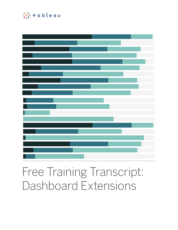

# Free Training Transcript: Dashboard Extensions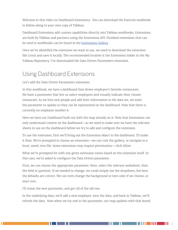Welcome to this video on Dashboard Extensions. You can download the Exercise workbook to follow along in your own copy of Tableau.

Dashboard Extensions add custom capabilities directly into Tableau workbooks. Extensions are built by Tableau and partners using the Extensions API. Finished extensions that can be used in workbooks can be found in the Extensions Gallery.

Once we've identified the extension we want to use, we need to download the extension file (.trex) and save it locally. The recommended location it the Extensions folder in the My Tableau Repository. I've downloaded the Data Driven Parameters extension.

#### Using Dashboard Extensions

Let's add the Data Driven Parameters extension.

In this workbook, we have a dashboard that shows employee's favorite restaurants. We have a parameter that lets us select employees and visually indicate their chosen restaurant. As we hire new people and add their information to the data set, we want the parameter to update so they can be represented on the dashboard. Note that there is currently no employee number 8.

Here we have our Dashboard built out with the map already on it. Note that Extensions can only understand content on the dashboard—so we need to make sure we have the relevant sheets in use on the dashboard before we try to add and configure the extension.

To use the extension, first we'll bring out the Extension object to the dashboard. I'll make it float. We're prompted to choose an extension—we can visit the gallery, or navigate to a local, saved .trex file. Some extensions may require permissions—click Allow.

What we're prompted for with any given extension varies based on the extension itself. In this case, we're asked to configure the Data Driven parameter.

First, we can choose the appropriate parameter. Next, select the relevant worksheet, then the field in question. If we needed to change, we could simply use the dropdown, but here the defaults are correct. We can even change the background or text color if we choose, or start over.

I'll resize the new parameter, and get rid of the old one.

In the underlying data, we'll add a new employee. Save the data, and back in Tableau, we'll refresh the data. Now when we try 008 in the parameter, our map updates with that brand